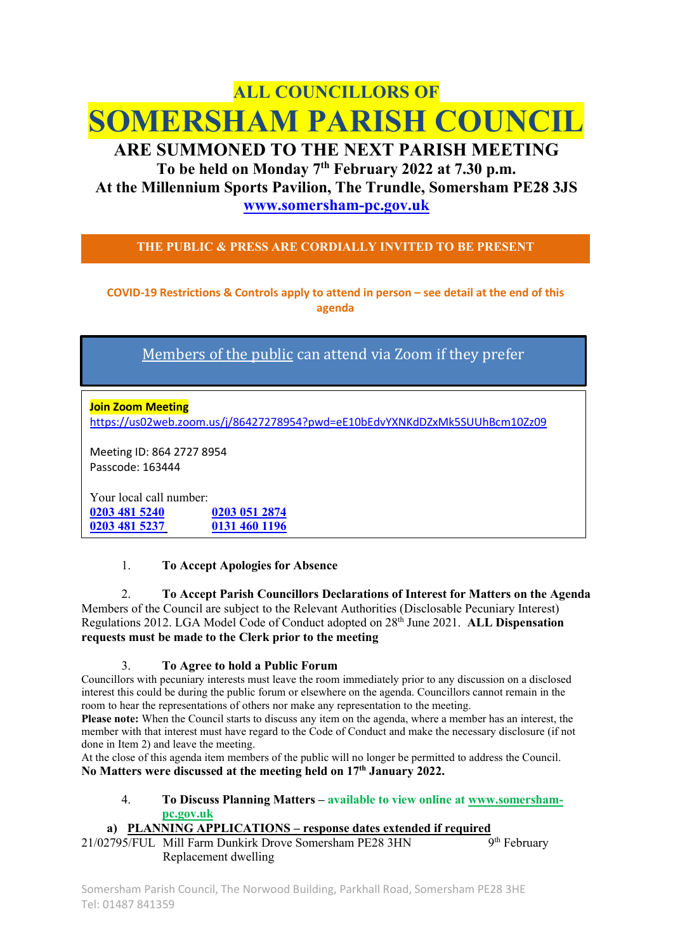# ALL COUNCILLORS OF SOMERSHAM PARISH COUNCIL

# ARE SUMMONED TO THE NEXT PARISH MEETING To be held on Monday 7<sup>th</sup> February 2022 at 7.30 p.m. At the Millennium Sports Pavilion, The Trundle, Somersham PE28 3JS

www.somersham-pc.gov.uk

THE PUBLIC & PRESS ARE CORDIALLY INVITED TO BE PRESENT

COVID-19 Restrictions & Controls apply to attend in person – see detail at the end of this agenda

Members of the public can attend via Zoom if they prefer

**Join Zoom Meeting** https://us02web.zoom.us/j/86427278954?pwd=eE10bEdvYXNKdDZxMk5SUUhBcm10Zz09

Meeting ID: 864 2727 8954 Passcode: 163444

Your local call number: 0203 481 5240 0203 051 2874 0203 481 5237 0131 460 1196

### 1. To Accept Apologies for Absence

2. To Accept Parish Councillors Declarations of Interest for Matters on the Agenda Members of the Council are subject to the Relevant Authorities (Disclosable Pecuniary Interest) Regulations 2012. LGA Model Code of Conduct adopted on 28<sup>th</sup> June 2021. ALL Dispensation requests must be made to the Clerk prior to the meeting

### 3. To Agree to hold a Public Forum

Councillors with pecuniary interests must leave the room immediately prior to any discussion on a disclosed interest this could be during the public forum or elsewhere on the agenda. Councillors cannot remain in the room to hear the representations of others nor make any representation to the meeting.

Please note: When the Council starts to discuss any item on the agenda, where a member has an interest, the member with that interest must have regard to the Code of Conduct and make the necessary disclosure (if not done in Item 2) and leave the meeting.

At the close of this agenda item members of the public will no longer be permitted to address the Council. No Matters were discussed at the meeting held on 17<sup>th</sup> January 2022.

4. To Discuss Planning Matters – available to view online at www.somershampc.gov.uk

### a) PLANNING APPLICATIONS – response dates extended if required

21/02795/FUL Mill Farm Dunkirk Drove Somersham PE28 3HN 9<sup>th</sup> February Replacement dwelling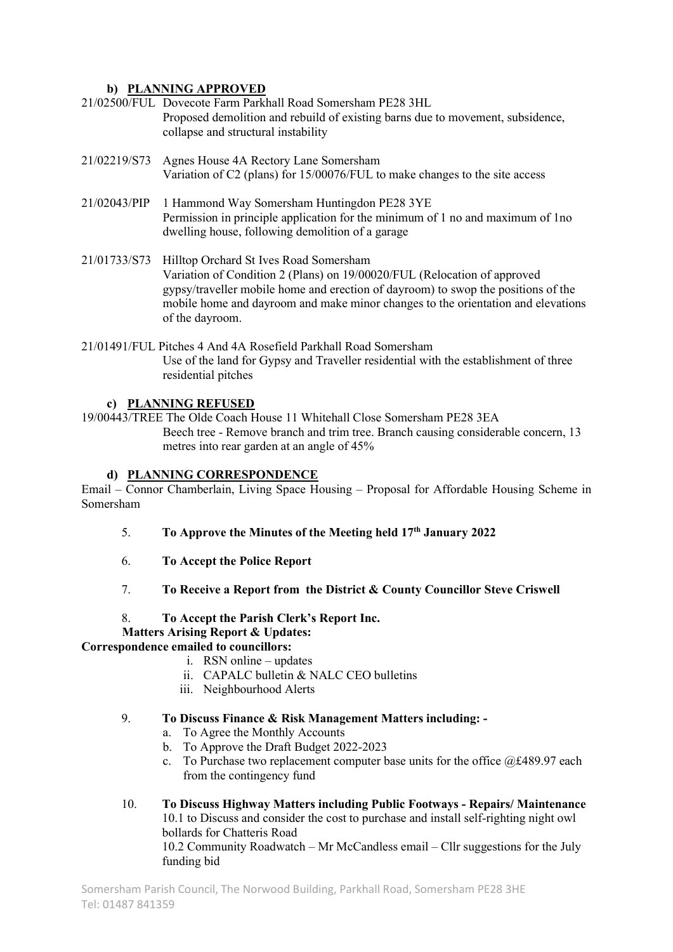# b) PLANNING APPROVED

- 21/02500/FUL Dovecote Farm Parkhall Road Somersham PE28 3HL Proposed demolition and rebuild of existing barns due to movement, subsidence, collapse and structural instability
- 21/02219/S73 Agnes House 4A Rectory Lane Somersham Variation of C2 (plans) for 15/00076/FUL to make changes to the site access
- 21/02043/PIP 1 Hammond Way Somersham Huntingdon PE28 3YE Permission in principle application for the minimum of 1 no and maximum of 1no dwelling house, following demolition of a garage
- 21/01733/S73 Hilltop Orchard St Ives Road Somersham Variation of Condition 2 (Plans) on 19/00020/FUL (Relocation of approved gypsy/traveller mobile home and erection of dayroom) to swop the positions of the mobile home and dayroom and make minor changes to the orientation and elevations of the dayroom.
- 21/01491/FUL Pitches 4 And 4A Rosefield Parkhall Road Somersham Use of the land for Gypsy and Traveller residential with the establishment of three residential pitches

### c) PLANNING REFUSED

19/00443/TREE The Olde Coach House 11 Whitehall Close Somersham PE28 3EA Beech tree - Remove branch and trim tree. Branch causing considerable concern, 13 metres into rear garden at an angle of 45%

#### d) PLANNING CORRESPONDENCE

Email – Connor Chamberlain, Living Space Housing – Proposal for Affordable Housing Scheme in Somersham

- 5. To Approve the Minutes of the Meeting held  $17<sup>th</sup>$  January 2022
- 6. To Accept the Police Report
- 7. To Receive a Report from the District & County Councillor Steve Criswell
- 8. To Accept the Parish Clerk's Report Inc.

### Matters Arising Report & Updates:

### Correspondence emailed to councillors:

- i. RSN online updates
- ii. CAPALC bulletin & NALC CEO bulletins
- iii. Neighbourhood Alerts

#### 9. To Discuss Finance & Risk Management Matters including: -

- a. To Agree the Monthly Accounts
- b. To Approve the Draft Budget 2022-2023
- c. To Purchase two replacement computer base units for the office  $@f489.97$  each from the contingency fund
- 10. To Discuss Highway Matters including Public Footways Repairs/ Maintenance 10.1 to Discuss and consider the cost to purchase and install self-righting night owl bollards for Chatteris Road 10.2 Community Roadwatch – Mr McCandless email – Cllr suggestions for the July funding bid